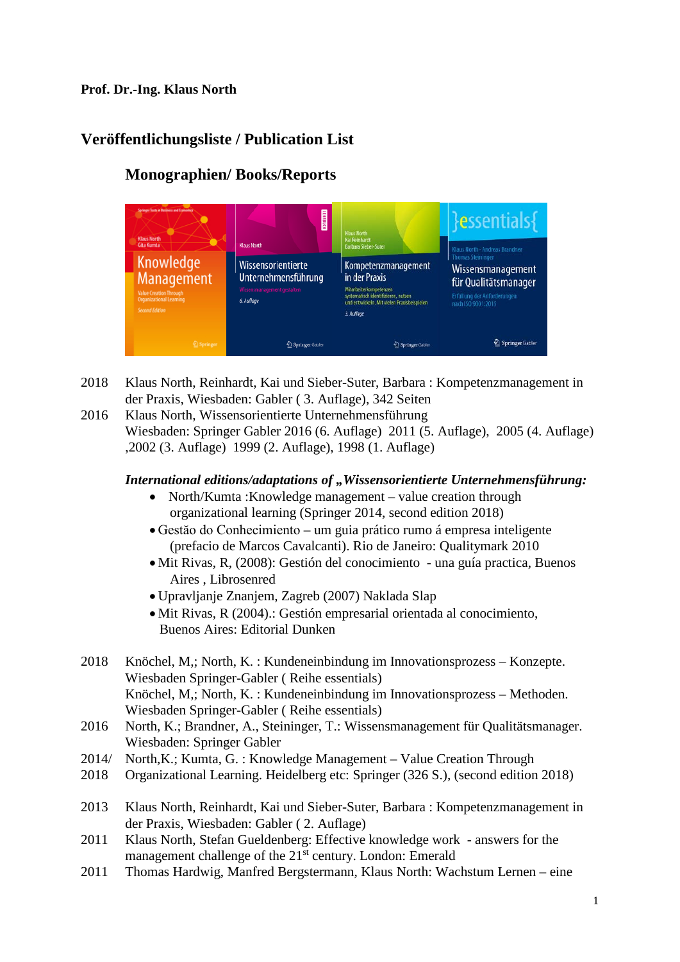#### **Prof. Dr.-Ing. Klaus North**

# **Veröffentlichungsliste / Publication List**

#### essentials Knowledge Wissensorientierte Kompetenzmanagement Wissensmanagement Unternehmensführung in der Praxis **Management** für Qualitätsmanager Mitarbeiterkompetenzen<br>systematisch identifizieren, nutzen<br>und entwickeln. Mit vielen Praxisbe füllung der Anford<br>ch ISO 9001:2015 6 Auflant 3. Auflage Springer Gabler Springer Gable 2 Springer Gable

## **Monographien/ Books/Reports**

- 2018 Klaus North, Reinhardt, Kai und Sieber-Suter, Barbara : Kompetenzmanagement in der Praxis, Wiesbaden: Gabler ( 3. Auflage), 342 Seiten
- 2016 Klaus North, Wissensorientierte Unternehmensführung Wiesbaden: Springer Gabler 2016 (6. Auflage) 2011 (5. Auflage), 2005 (4. Auflage) ,2002 (3. Auflage) 1999 (2. Auflage), 1998 (1. Auflage)

#### *International editions/adaptations of "Wissensorientierte Unternehmensführung:*

- North/Kumta :Knowledge management value creation through organizational learning (Springer 2014, second edition 2018)
- Gestăo do Conhecimiento um guia prático rumo á empresa inteligente (prefacio de Marcos Cavalcanti). Rio de Janeiro: Qualitymark 2010
- Mit Rivas, R, (2008): Gestión del conocimiento una guía practica, Buenos Aires , Librosenred
- Upravljanje Znanjem, Zagreb (2007) Naklada Slap
- Mit Rivas, R (2004).: Gestión empresarial orientada al conocimiento, Buenos Aires: Editorial Dunken
- 2018 Knöchel, M,; North, K. : Kundeneinbindung im Innovationsprozess Konzepte. Wiesbaden Springer-Gabler ( Reihe essentials) Knöchel, M,; North, K. : Kundeneinbindung im Innovationsprozess – Methoden. Wiesbaden Springer-Gabler ( Reihe essentials)
- 2016 North, K.; Brandner, A., Steininger, T.: Wissensmanagement für Qualitätsmanager. Wiesbaden: Springer Gabler
- 2014/ North,K.; Kumta, G. : Knowledge Management – Value Creation Through
- 2018 Organizational Learning. Heidelberg etc: Springer (326 S.), (second edition 2018)
- 2013 Klaus North, Reinhardt, Kai und Sieber-Suter, Barbara : Kompetenzmanagement in der Praxis, Wiesbaden: Gabler ( 2. Auflage)
- 2011 Klaus North, Stefan Gueldenberg: Effective knowledge work answers for the management challenge of the 21<sup>st</sup> century. London: Emerald
- 2011 Thomas Hardwig, Manfred Bergstermann, Klaus North: Wachstum Lernen eine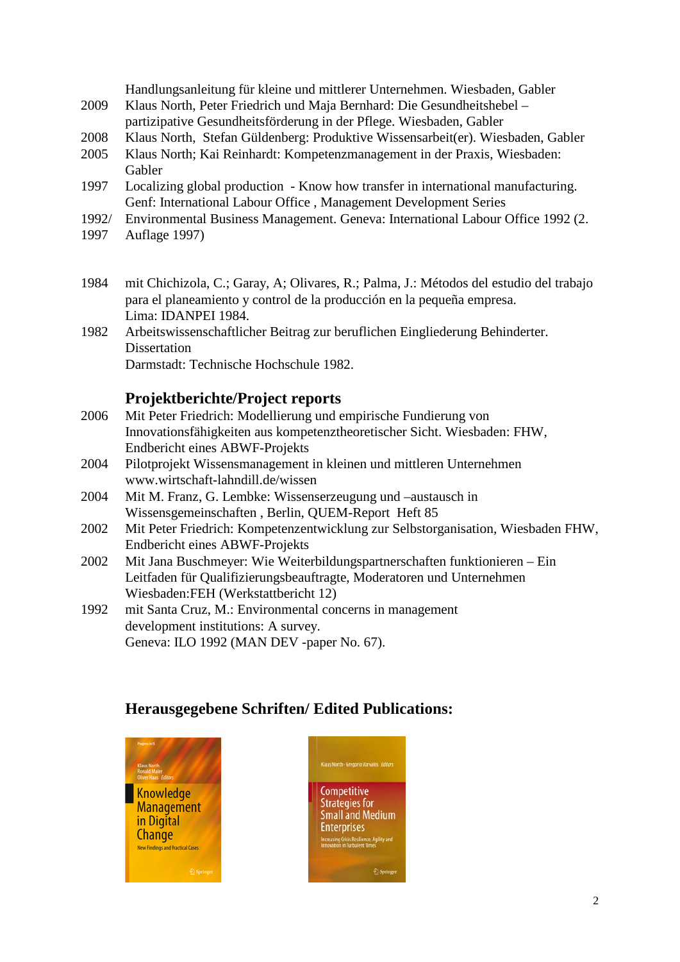Handlungsanleitung für kleine und mittlerer Unternehmen. Wiesbaden, Gabler

- 2009 Klaus North, Peter Friedrich und Maja Bernhard: Die Gesundheitshebel partizipative Gesundheitsförderung in der Pflege. Wiesbaden, Gabler
- 2008 Klaus North, Stefan Güldenberg: Produktive Wissensarbeit(er). Wiesbaden, Gabler
- 2005 Klaus North; Kai Reinhardt: Kompetenzmanagement in der Praxis, Wiesbaden: Gabler
- 1997 Localizing global production Know how transfer in international manufacturing. Genf: International Labour Office , Management Development Series
- 1992/ Environmental Business Management. Geneva: International Labour Office 1992 (2.
- 1997 Auflage 1997)
- 1984 mit Chichizola, C.; Garay, A; Olivares, R.; Palma, J.: Métodos del estudio del trabajo para el planeamiento y control de la producción en la pequeña empresa. Lima: IDANPEI 1984.
- 1982 Arbeitswissenschaftlicher Beitrag zur beruflichen Eingliederung Behinderter. Dissertation Darmstadt: Technische Hochschule 1982.

### **Projektberichte/Project reports**

- 2006 Mit Peter Friedrich: Modellierung und empirische Fundierung von Innovationsfähigkeiten aus kompetenztheoretischer Sicht. Wiesbaden: FHW, Endbericht eines ABWF-Projekts
- 2004 Pilotprojekt Wissensmanagement in kleinen und mittleren Unternehmen www.wirtschaft-lahndill.de/wissen
- 2004 Mit M. Franz, G. Lembke: Wissenserzeugung und –austausch in Wissensgemeinschaften , Berlin, QUEM-Report Heft 85
- 2002 Mit Peter Friedrich: Kompetenzentwicklung zur Selbstorganisation, Wiesbaden FHW, Endbericht eines ABWF-Projekts
- 2002 Mit Jana Buschmeyer: Wie Weiterbildungspartnerschaften funktionieren Ein Leitfaden für Qualifizierungsbeauftragte, Moderatoren und Unternehmen Wiesbaden:FEH (Werkstattbericht 12)
- 1992 mit Santa Cruz, M.: Environmental concerns in management development institutions: A survey. Geneva: ILO 1992 (MAN DEV -paper No. 67).

## **Herausgegebene Schriften/ Edited Publications:**



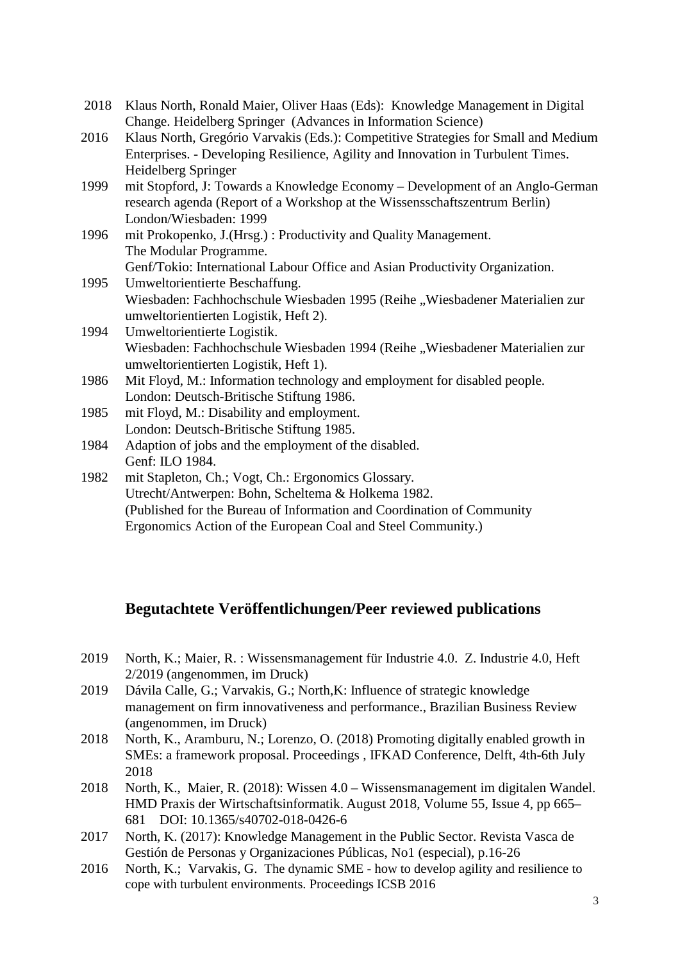- 2018 Klaus North, Ronald Maier, Oliver Haas (Eds): Knowledge Management in Digital Change. Heidelberg Springer (Advances in Information Science)
- 2016 Klaus North, Gregório Varvakis (Eds.): Competitive Strategies for Small and Medium Enterprises. - Developing Resilience, Agility and Innovation in Turbulent Times. Heidelberg Springer
- 1999 mit Stopford, J: Towards a Knowledge Economy Development of an Anglo-German research agenda (Report of a Workshop at the Wissensschaftszentrum Berlin) London/Wiesbaden: 1999
- 1996 mit Prokopenko, J.(Hrsg.) : Productivity and Quality Management. The Modular Programme. Genf/Tokio: International Labour Office and Asian Productivity Organization.
- 1995 Umweltorientierte Beschaffung. Wiesbaden: Fachhochschule Wiesbaden 1995 (Reihe "Wiesbadener Materialien zur umweltorientierten Logistik, Heft 2).
- 1994 Umweltorientierte Logistik. Wiesbaden: Fachhochschule Wiesbaden 1994 (Reihe "Wiesbadener Materialien zur umweltorientierten Logistik, Heft 1).
- 1986 Mit Floyd, M.: Information technology and employment for disabled people. London: Deutsch-Britische Stiftung 1986.
- 1985 mit Floyd, M.: Disability and employment. London: Deutsch-Britische Stiftung 1985.
- 1984 Adaption of jobs and the employment of the disabled. Genf: ILO 1984.
- 1982 mit Stapleton, Ch.; Vogt, Ch.: Ergonomics Glossary. Utrecht/Antwerpen: Bohn, Scheltema & Holkema 1982. (Published for the Bureau of Information and Coordination of Community Ergonomics Action of the European Coal and Steel Community.)

## **Begutachtete Veröffentlichungen/Peer reviewed publications**

- 2019 North, K.; Maier, R. : Wissensmanagement für Industrie 4.0. Z. Industrie 4.0, Heft 2/2019 (angenommen, im Druck)
- 2019 Dávila Calle, G.; Varvakis, G.; North,K: Influence of strategic knowledge management on firm innovativeness and performance., Brazilian Business Review (angenommen, im Druck)
- 2018 North, K., Aramburu, N.; Lorenzo, O. (2018) Promoting digitally enabled growth in SMEs: a framework proposal. Proceedings , IFKAD Conference, Delft, 4th-6th July 2018
- 2018 North, K., Maier, R. (2018): Wissen 4.0 Wissensmanagement im digitalen Wandel. HMD Praxis der Wirtschaftsinformatik. August 2018, Volume 55, Issue 4, pp 665– 681 DOI: 10.1365/s40702-018-0426-6
- 2017 North, K. (2017): Knowledge Management in the Public Sector. Revista Vasca de Gestión de Personas y Organizaciones Públicas, No1 (especial), p.16-26
- 2016 North, K.; Varvakis, G. The dynamic SME how to develop agility and resilience to cope with turbulent environments. Proceedings ICSB 2016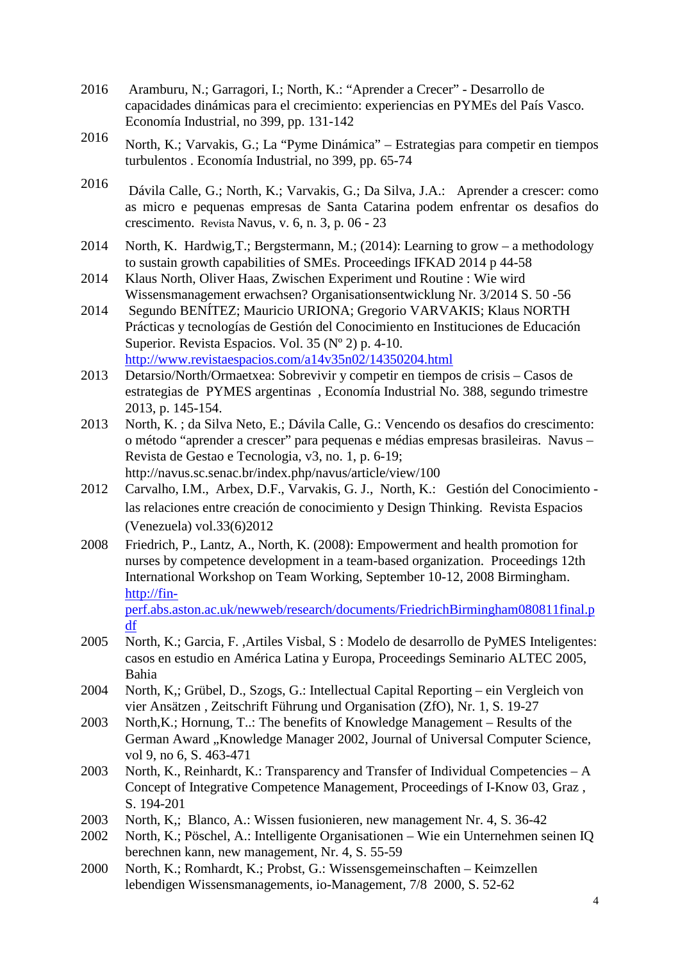- 2016 Aramburu, N.; Garragori, I.; North, K.: "Aprender a Crecer" Desarrollo de capacidades dinámicas para el crecimiento: experiencias en PYMEs del País Vasco. Economía Industrial, no 399, pp. 131-142
- <sup>2016</sup> North, K.; Varvakis, G.; La "Pyme Dinámica" Estrategias para competir en tiempos turbulentos . Economía Industrial, no 399, pp. 65-74
- <sup>2016</sup> Dávila Calle, G.; North, K.; Varvakis, G.; Da Silva, J.A.: Aprender a crescer: como as micro e pequenas empresas de Santa Catarina podem enfrentar os desafios do crescimento. Revista Navus, v. 6, n. 3, p. 06 - 23
- 2014 North, K. Hardwig,T.; Bergstermann, M.; (2014): Learning to grow a methodology to sustain growth capabilities of SMEs. Proceedings IFKAD 2014 p 44-58
- 2014 Klaus North, Oliver Haas, Zwischen Experiment und Routine : Wie wird Wissensmanagement erwachsen? Organisationsentwicklung Nr. 3/2014 S. 50 -56
- 2014 Segundo BENÍTEZ; Mauricio URIONA; Gregorio VARVAKIS; Klaus NORTH Prácticas y tecnologías de Gestión del Conocimiento en Instituciones de Educación Superior. Revista Espacios. Vol. 35 (Nº 2) p. 4-10. <http://www.revistaespacios.com/a14v35n02/14350204.html>
- 2013 Detarsio/North/Ormaetxea: Sobrevivir y competir en tiempos de crisis Casos de estrategias de PYMES argentinas , Economía Industrial No. 388, segundo trimestre 2013, p. 145-154.
- 2013 North, K. ; da Silva Neto, E.; Dávila Calle, G.: Vencendo os desafios do crescimento: o método "aprender a crescer" para pequenas e médias empresas brasileiras. Navus – Revista de Gestao e Tecnologia, v3, no. 1, p. 6-19; http://navus.sc.senac.br/index.php/navus/article/view/100
- 2012 Carvalho, I.M., Arbex, D.F., Varvakis, G. J., North, K.: Gestión del Conocimiento las relaciones entre creación de conocimiento y Design Thinking. Revista Espacios (Venezuela) vol.33(6)2012
- 2008 Friedrich, P., Lantz, A., North, K. (2008): Empowerment and health promotion for nurses by competence development in a team-based organization. Proceedings 12th International Workshop on Team Working, September 10-12, 2008 Birmingham. [http://fin-](http://fin-perf.abs.aston.ac.uk/newweb/research/documents/FriedrichBirmingham080811final.pdf)

[perf.abs.aston.ac.uk/newweb/research/documents/FriedrichBirmingham080811final.p](http://fin-perf.abs.aston.ac.uk/newweb/research/documents/FriedrichBirmingham080811final.pdf) [df](http://fin-perf.abs.aston.ac.uk/newweb/research/documents/FriedrichBirmingham080811final.pdf)

- 2005 North, K.; Garcia, F. ,Artiles Visbal, S : Modelo de desarrollo de PyMES Inteligentes: casos en estudio en América Latina y Europa, Proceedings Seminario ALTEC 2005, Bahia
- 2004 North, K,; Grübel, D., Szogs, G.: Intellectual Capital Reporting ein Vergleich von vier Ansätzen , Zeitschrift Führung und Organisation (ZfO), Nr. 1, S. 19-27
- 2003 North,K.; Hornung, T..: The benefits of Knowledge Management Results of the German Award "Knowledge Manager 2002, Journal of Universal Computer Science, vol 9, no 6, S. 463-471
- 2003 North, K., Reinhardt, K.: Transparency and Transfer of Individual Competencies A Concept of Integrative Competence Management, Proceedings of I-Know 03, Graz , S. 194-201
- 2003 North, K,; Blanco, A.: Wissen fusionieren, new management Nr. 4, S. 36-42
- 2002 North, K.; Pöschel, A.: Intelligente Organisationen Wie ein Unternehmen seinen IQ berechnen kann, new management, Nr. 4, S. 55-59
- 2000 North, K.; Romhardt, K.; Probst, G.: Wissensgemeinschaften Keimzellen lebendigen Wissensmanagements, io-Management, 7/8 2000, S. 52-62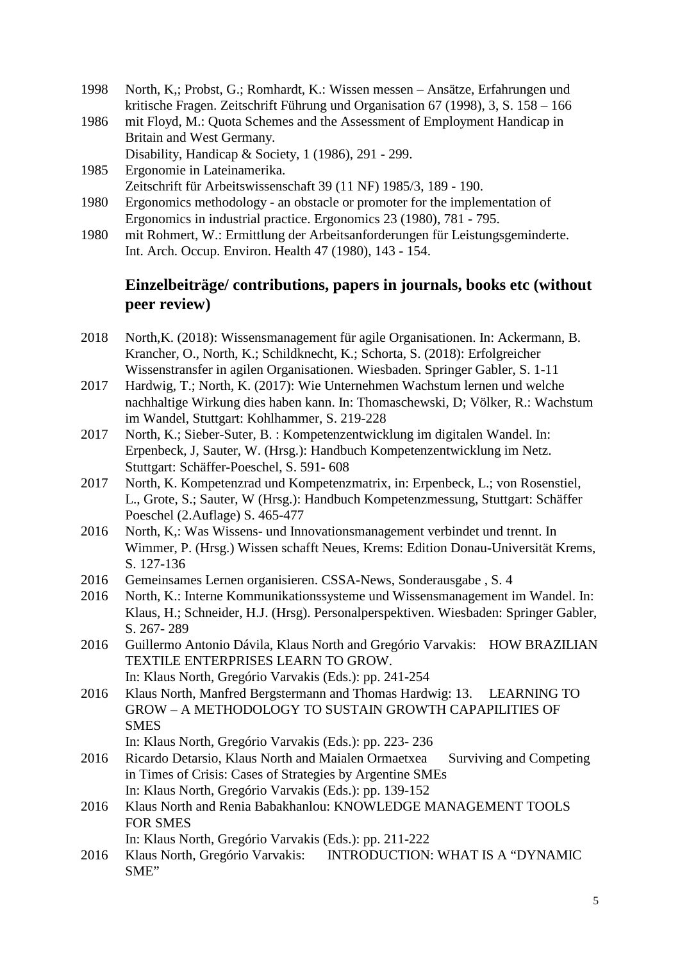- 1998 North, K,; Probst, G.; Romhardt, K.: Wissen messen Ansätze, Erfahrungen und kritische Fragen. Zeitschrift Führung und Organisation 67 (1998), 3, S. 158 – 166
- 1986 mit Floyd, M.: Quota Schemes and the Assessment of Employment Handicap in Britain and West Germany.
	- Disability, Handicap & Society, 1 (1986), 291 299.
- 1985 Ergonomie in Lateinamerika. Zeitschrift für Arbeitswissenschaft 39 (11 NF) 1985/3, 189 - 190.
- 1980 Ergonomics methodology an obstacle or promoter for the implementation of Ergonomics in industrial practice. Ergonomics 23 (1980), 781 - 795.
- 1980 mit Rohmert, W.: Ermittlung der Arbeitsanforderungen für Leistungsgeminderte. Int. Arch. Occup. Environ. Health 47 (1980), 143 - 154.

## **Einzelbeiträge/ contributions, papers in journals, books etc (without peer review)**

- 2018 North,K. (2018): Wissensmanagement für agile Organisationen. In: Ackermann, B. Krancher, O., North, K.; Schildknecht, K.; Schorta, S. (2018): Erfolgreicher Wissenstransfer in agilen Organisationen. Wiesbaden. Springer Gabler, S. 1-11
- 2017 Hardwig, T.; North, K. (2017): Wie Unternehmen Wachstum lernen und welche nachhaltige Wirkung dies haben kann. In: Thomaschewski, D; Völker, R.: Wachstum im Wandel, Stuttgart: Kohlhammer, S. 219-228
- 2017 North, K.; Sieber-Suter, B. : Kompetenzentwicklung im digitalen Wandel. In: Erpenbeck, J, Sauter, W. (Hrsg.): Handbuch Kompetenzentwicklung im Netz. Stuttgart: Schäffer-Poeschel, S. 591- 608
- 2017 North, K. Kompetenzrad und Kompetenzmatrix, in: Erpenbeck, L.; von Rosenstiel, L., Grote, S.; Sauter, W (Hrsg.): Handbuch Kompetenzmessung, Stuttgart: Schäffer Poeschel (2.Auflage) S. 465-477
- 2016 North, K,: Was Wissens- und Innovationsmanagement verbindet und trennt. In Wimmer, P. (Hrsg.) Wissen schafft Neues, Krems: Edition Donau-Universität Krems, S. 127-136
- 2016 Gemeinsames Lernen organisieren. CSSA-News, Sonderausgabe , S. 4
- 2016 North, K.: Interne Kommunikationssysteme und Wissensmanagement im Wandel. In: Klaus, H.; Schneider, H.J. (Hrsg). Personalperspektiven. Wiesbaden: Springer Gabler, S. 267- 289
- 2016 Guillermo Antonio Dávila, Klaus North and Gregório Varvakis: HOW BRAZILIAN TEXTILE ENTERPRISES LEARN TO GROW.
- In: Klaus North, Gregório Varvakis (Eds.): pp. 241-254 2016 Klaus North, Manfred Bergstermann and Thomas Hardwig: 13. LEARNING TO GROW – A METHODOLOGY TO SUSTAIN GROWTH CAPAPILITIES OF **SMES**

In: Klaus North, Gregório Varvakis (Eds.): pp. 223- 236

- 2016 Ricardo Detarsio, Klaus North and Maialen Ormaetxea Surviving and Competing in Times of Crisis: Cases of Strategies by Argentine SMEs In: Klaus North, Gregório Varvakis (Eds.): pp. 139-152
- 2016 Klaus North and Renia Babakhanlou: KNOWLEDGE MANAGEMENT TOOLS FOR SMES

In: Klaus North, Gregório Varvakis (Eds.): pp. 211-222

2016 Klaus North, Gregório Varvakis: INTRODUCTION: WHAT IS A "DYNAMIC SME"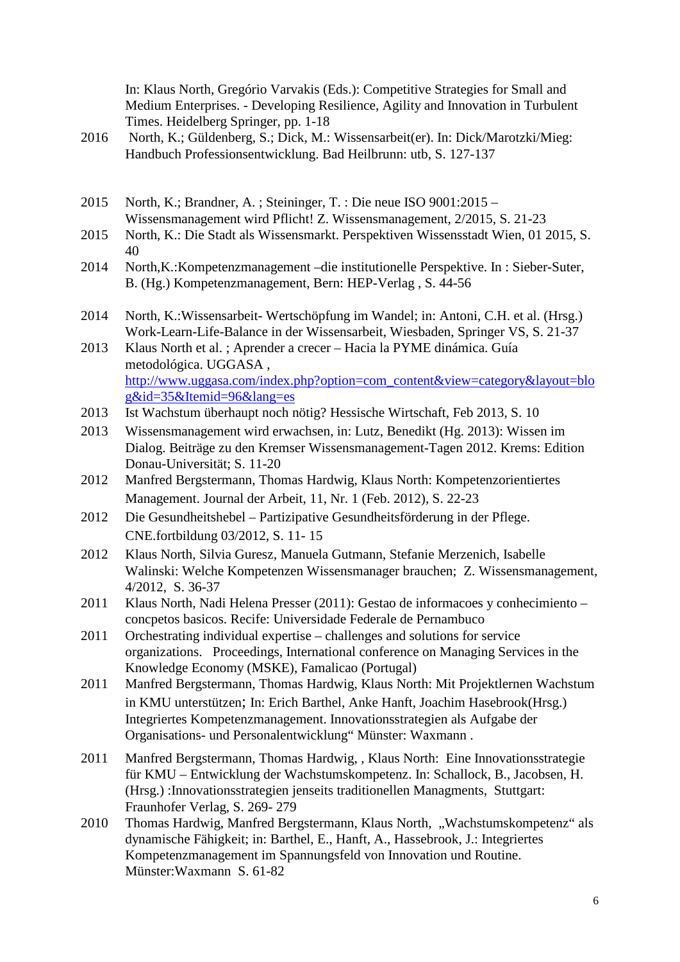In: Klaus North, Gregório Varvakis (Eds.): Competitive Strategies for Small and Medium Enterprises. - Developing Resilience, Agility and Innovation in Turbulent Times. Heidelberg Springer, pp. 1-18

- 2016 North, K.; Güldenberg, S.; Dick, M.: Wissensarbeit(er). In: Dick/Marotzki/Mieg: Handbuch Professionsentwicklung. Bad Heilbrunn: utb, S. 127-137
- 2015 North, K.; Brandner, A. ; Steininger, T. : Die neue ISO 9001:2015 Wissensmanagement wird Pflicht! Z. Wissensmanagement, 2/2015, S. 21-23
- 2015 North, K.: Die Stadt als Wissensmarkt. Perspektiven Wissensstadt Wien, 01 2015, S. 40
- 2014 North,K.:Kompetenzmanagement –die institutionelle Perspektive. In : Sieber-Suter, B. (Hg.) Kompetenzmanagement, Bern: HEP-Verlag , S. 44-56
- 2014 North, K.:Wissensarbeit- Wertschöpfung im Wandel; in: Antoni, C.H. et al. (Hrsg.) Work-Learn-Life-Balance in der Wissensarbeit, Wiesbaden, Springer VS, S. 21-37
- 2013 Klaus North et al. ; Aprender a crecer Hacia la PYME dinámica. Guía metodológica. UGGASA , [http://www.uggasa.com/index.php?option=com\\_content&view=category&layout=blo](http://www.uggasa.com/index.php?option=com_content&view=category&layout=blog&id=35&Itemid=96&lang=es) [g&id=35&Itemid=96&lang=es](http://www.uggasa.com/index.php?option=com_content&view=category&layout=blog&id=35&Itemid=96&lang=es)
- 2013 Ist Wachstum überhaupt noch nötig? Hessische Wirtschaft, Feb 2013, S. 10
- 2013 Wissensmanagement wird erwachsen, in: Lutz, Benedikt (Hg. 2013): Wissen im Dialog. Beiträge zu den Kremser Wissensmanagement-Tagen 2012. Krems: Edition Donau-Universität; S. 11-20
- 2012 Manfred Bergstermann, Thomas Hardwig, Klaus North: Kompetenzorientiertes Management. Journal der Arbeit, 11, Nr. 1 (Feb. 2012), S. 22-23
- 2012 Die Gesundheitshebel Partizipative Gesundheitsförderung in der Pflege. CNE.fortbildung 03/2012, S. 11- 15
- 2012 Klaus North, Silvia Guresz, Manuela Gutmann, Stefanie Merzenich, Isabelle Walinski: Welche Kompetenzen Wissensmanager brauchen; Z. Wissensmanagement, 4/2012, S. 36-37
- 2011 Klaus North, Nadi Helena Presser (2011): Gestao de informacoes y conhecimiento concpetos basicos. Recife: Universidade Federale de Pernambuco
- 2011 Orchestrating individual expertise challenges and solutions for service organizations. Proceedings, International conference on Managing Services in the Knowledge Economy (MSKE), Famalicao (Portugal)
- 2011 Manfred Bergstermann, Thomas Hardwig, Klaus North: Mit Projektlernen Wachstum in KMU unterstützen; In: Erich Barthel, Anke Hanft, Joachim Hasebrook(Hrsg.) Integriertes Kompetenzmanagement. Innovationsstrategien als Aufgabe der Organisations- und Personalentwicklung" Münster: Waxmann .
- 2011 Manfred Bergstermann, Thomas Hardwig, , Klaus North: Eine Innovationsstrategie für KMU – Entwicklung der Wachstumskompetenz. In: Schallock, B., Jacobsen, H. (Hrsg.) :Innovationsstrategien jenseits traditionellen Managments, Stuttgart: Fraunhofer Verlag, S. 269- 279
- 2010 Thomas Hardwig, Manfred Bergstermann, Klaus North, "Wachstumskompetenz" als dynamische Fähigkeit; in: Barthel, E., Hanft, A., Hassebrook, J.: Integriertes Kompetenzmanagement im Spannungsfeld von Innovation und Routine. Münster:Waxmann S. 61-82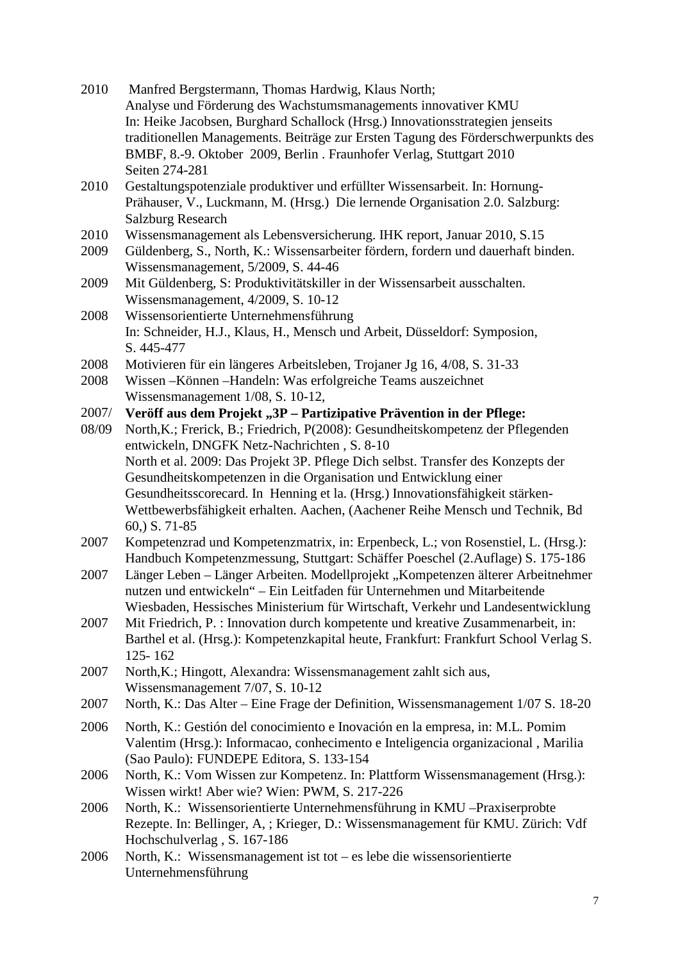| 2010  | Manfred Bergstermann, Thomas Hardwig, Klaus North;                                             |
|-------|------------------------------------------------------------------------------------------------|
|       | Analyse und Förderung des Wachstumsmanagements innovativer KMU                                 |
|       | In: Heike Jacobsen, Burghard Schallock (Hrsg.) Innovationsstrategien jenseits                  |
|       | traditionellen Managements. Beiträge zur Ersten Tagung des Förderschwerpunkts des              |
|       | BMBF, 8.-9. Oktober 2009, Berlin . Fraunhofer Verlag, Stuttgart 2010                           |
|       | Seiten 274-281                                                                                 |
| 2010  | Gestaltungspotenziale produktiver und erfüllter Wissensarbeit. In: Hornung-                    |
|       | Prähauser, V., Luckmann, M. (Hrsg.) Die lernende Organisation 2.0. Salzburg:                   |
|       | <b>Salzburg Research</b>                                                                       |
| 2010  | Wissensmanagement als Lebensversicherung. IHK report, Januar 2010, S.15                        |
| 2009  | Güldenberg, S., North, K.: Wissensarbeiter fördern, fordern und dauerhaft binden.              |
|       | Wissensmanagement, 5/2009, S. 44-46                                                            |
| 2009  | Mit Güldenberg, S: Produktivitätskiller in der Wissensarbeit ausschalten.                      |
|       | Wissensmanagement, 4/2009, S. 10-12                                                            |
|       |                                                                                                |
| 2008  | Wissensorientierte Unternehmensführung                                                         |
|       | In: Schneider, H.J., Klaus, H., Mensch und Arbeit, Düsseldorf: Symposion,                      |
|       | S. 445-477                                                                                     |
| 2008  | Motivieren für ein längeres Arbeitsleben, Trojaner Jg 16, 4/08, S. 31-33                       |
| 2008  | Wissen - Können - Handeln: Was erfolgreiche Teams auszeichnet                                  |
|       | Wissensmanagement 1/08, S. 10-12,                                                              |
| 2007/ | Veröff aus dem Projekt "3P - Partizipative Prävention in der Pflege:                           |
| 08/09 | North, K.; Frerick, B.; Friedrich, P(2008): Gesundheitskompetenz der Pflegenden                |
|       | entwickeln, DNGFK Netz-Nachrichten, S. 8-10                                                    |
|       | North et al. 2009: Das Projekt 3P. Pflege Dich selbst. Transfer des Konzepts der               |
|       | Gesundheitskompetenzen in die Organisation und Entwicklung einer                               |
|       | Gesundheitsscorecard. In Henning et la. (Hrsg.) Innovationsfähigkeit stärken-                  |
|       | Wettbewerbsfähigkeit erhalten. Aachen, (Aachener Reihe Mensch und Technik, Bd                  |
|       | 60, S. 71-85                                                                                   |
| 2007  | Kompetenzrad und Kompetenzmatrix, in: Erpenbeck, L.; von Rosenstiel, L. (Hrsg.):               |
|       | Handbuch Kompetenzmessung, Stuttgart: Schäffer Poeschel (2.Auflage) S. 175-186                 |
| 2007  | Länger Leben - Länger Arbeiten. Modellprojekt "Kompetenzen älterer Arbeitnehmer                |
|       | nutzen und entwickeln" - Ein Leitfaden für Unternehmen und Mitarbeitende                       |
|       | Wiesbaden, Hessisches Ministerium für Wirtschaft, Verkehr und Landesentwicklung                |
| 2007  | Mit Friedrich, P. : Innovation durch kompetente und kreative Zusammenarbeit, in:               |
|       | Barthel et al. (Hrsg.): Kompetenzkapital heute, Frankfurt: Frankfurt School Verlag S.          |
|       | $125 - 162$                                                                                    |
| 2007  | North, K.; Hingott, Alexandra: Wissensmanagement zahlt sich aus,                               |
|       | Wissensmanagement 7/07, S. 10-12                                                               |
| 2007  | North, K.: Das Alter - Eine Frage der Definition, Wissensmanagement 1/07 S. 18-20              |
|       |                                                                                                |
| 2006  | North, K.: Gestión del conocimiento e Inovación en la empresa, in: M.L. Pomim                  |
|       | Valentim (Hrsg.): Informacao, conhecimento e Inteligencia organizacional, Marilia              |
|       | (Sao Paulo): FUNDEPE Editora, S. 133-154                                                       |
| 2006  | North, K.: Vom Wissen zur Kompetenz. In: Plattform Wissensmanagement (Hrsg.):                  |
|       | Wissen wirkt! Aber wie? Wien: PWM, S. 217-226                                                  |
| 2006  | North, K.: Wissensorientierte Unternehmensführung in KMU-Praxiserprobte                        |
|       | Rezepte. In: Bellinger, A, ; Krieger, D.: Wissensmanagement für KMU. Zürich: Vdf               |
|       | Hochschulverlag, S. 167-186                                                                    |
| 2006  |                                                                                                |
|       |                                                                                                |
|       | North, K.: Wissensmanagement ist tot $-$ es lebe die wissensorientierte<br>Unternehmensführung |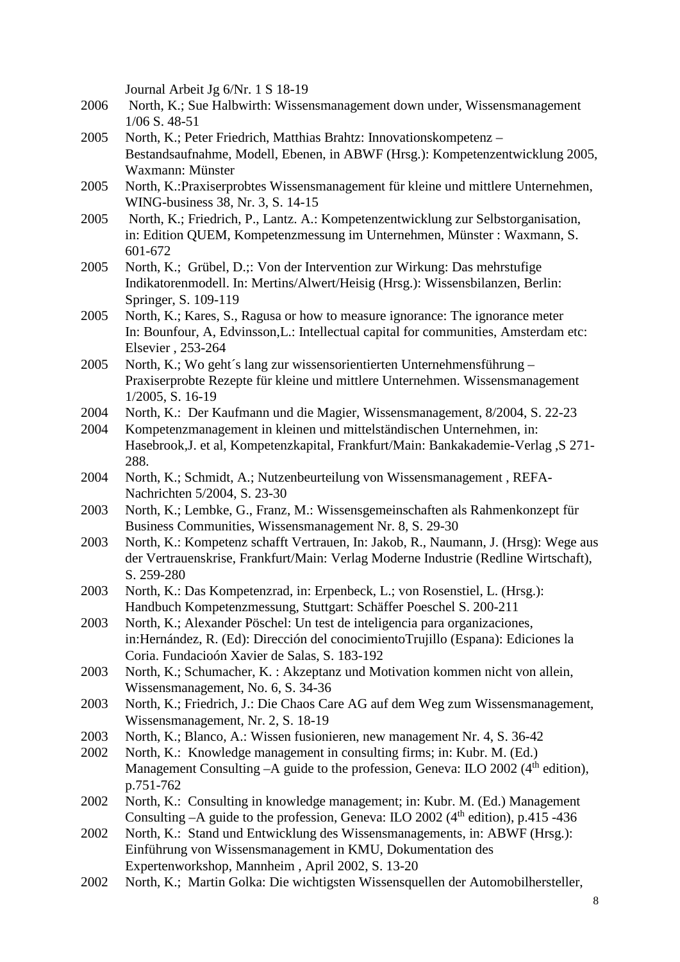Journal Arbeit Jg 6/Nr. 1 S 18-19

- 2006 North, K.; Sue Halbwirth: Wissensmanagement down under, Wissensmanagement 1/06 S. 48-51
- 2005 North, K.; Peter Friedrich, Matthias Brahtz: Innovationskompetenz Bestandsaufnahme, Modell, Ebenen, in ABWF (Hrsg.): Kompetenzentwicklung 2005, Waxmann: Münster
- 2005 North, K.:Praxiserprobtes Wissensmanagement für kleine und mittlere Unternehmen, WING-business 38, Nr. 3, S. 14-15
- 2005 North, K.; Friedrich, P., Lantz. A.: Kompetenzentwicklung zur Selbstorganisation, in: Edition QUEM, Kompetenzmessung im Unternehmen, Münster : Waxmann, S. 601-672
- 2005 North, K.; Grübel, D.;: Von der Intervention zur Wirkung: Das mehrstufige Indikatorenmodell. In: Mertins/Alwert/Heisig (Hrsg.): Wissensbilanzen, Berlin: Springer, S. 109-119
- 2005 North, K.; Kares, S., Ragusa or how to measure ignorance: The ignorance meter In: Bounfour, A, Edvinsson,L.: Intellectual capital for communities, Amsterdam etc: Elsevier , 253-264
- 2005 North, K.; Wo geht´s lang zur wissensorientierten Unternehmensführung Praxiserprobte Rezepte für kleine und mittlere Unternehmen. Wissensmanagement 1/2005, S. 16-19
- 2004 North, K.: Der Kaufmann und die Magier, Wissensmanagement, 8/2004, S. 22-23
- 2004 Kompetenzmanagement in kleinen und mittelständischen Unternehmen, in: Hasebrook,J. et al, Kompetenzkapital, Frankfurt/Main: Bankakademie-Verlag ,S 271- 288.
- 2004 North, K.; Schmidt, A.; Nutzenbeurteilung von Wissensmanagement , REFA-Nachrichten 5/2004, S. 23-30
- 2003 North, K.; Lembke, G., Franz, M.: Wissensgemeinschaften als Rahmenkonzept für Business Communities, Wissensmanagement Nr. 8, S. 29-30
- 2003 North, K.: Kompetenz schafft Vertrauen, In: Jakob, R., Naumann, J. (Hrsg): Wege aus der Vertrauenskrise, Frankfurt/Main: Verlag Moderne Industrie (Redline Wirtschaft), S. 259-280
- 2003 North, K.: Das Kompetenzrad, in: Erpenbeck, L.; von Rosenstiel, L. (Hrsg.): Handbuch Kompetenzmessung, Stuttgart: Schäffer Poeschel S. 200-211
- 2003 North, K.; Alexander Pöschel: Un test de inteligencia para organizaciones, in:Hernández, R. (Ed): Dirección del conocimientoTrujillo (Espana): Ediciones la Coria. Fundacioón Xavier de Salas, S. 183-192
- 2003 North, K.; Schumacher, K. : Akzeptanz und Motivation kommen nicht von allein, Wissensmanagement, No. 6, S. 34-36
- 2003 North, K.; Friedrich, J.: Die Chaos Care AG auf dem Weg zum Wissensmanagement, Wissensmanagement, Nr. 2, S. 18-19
- 2003 North, K.; Blanco, A.: Wissen fusionieren, new management Nr. 4, S. 36-42
- 2002 North, K.: Knowledge management in consulting firms; in: Kubr. M. (Ed.) Management Consulting  $-A$  guide to the profession, Geneva: ILO 2002 (4<sup>th</sup> edition), p.751-762
- 2002 North, K.: Consulting in knowledge management; in: Kubr. M. (Ed.) Management Consulting  $-A$  guide to the profession, Geneva: ILO 2002 ( $4<sup>th</sup>$  edition), p.415 -436
- 2002 North, K.: Stand und Entwicklung des Wissensmanagements, in: ABWF (Hrsg.): Einführung von Wissensmanagement in KMU, Dokumentation des Expertenworkshop, Mannheim , April 2002, S. 13-20
- 2002 North, K.; Martin Golka: Die wichtigsten Wissensquellen der Automobilhersteller,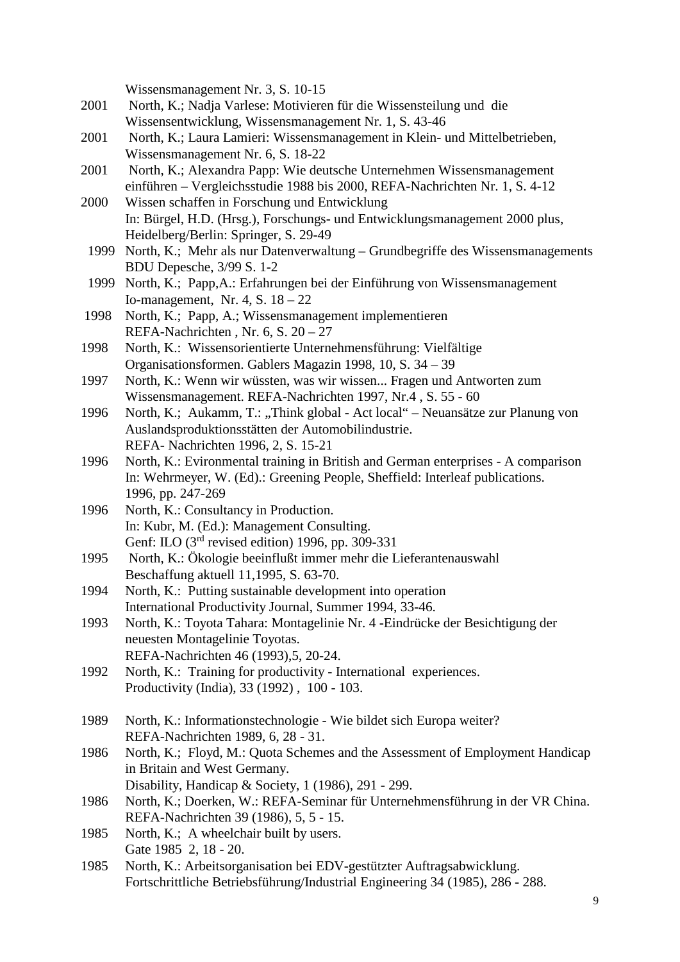Wissensmanagement Nr. 3, S. 10-15

- 2001 North, K.; Nadja Varlese: Motivieren für die Wissensteilung und die Wissensentwicklung, Wissensmanagement Nr. 1, S. 43-46
- 2001 North, K.; Laura Lamieri: Wissensmanagement in Klein- und Mittelbetrieben, Wissensmanagement Nr. 6, S. 18-22
- 2001 North, K.; Alexandra Papp: Wie deutsche Unternehmen Wissensmanagement einführen – Vergleichsstudie 1988 bis 2000, REFA-Nachrichten Nr. 1, S. 4-12
- 2000 Wissen schaffen in Forschung und Entwicklung In: Bürgel, H.D. (Hrsg.), Forschungs- und Entwicklungsmanagement 2000 plus, Heidelberg/Berlin: Springer, S. 29-49
- 1999 North, K.; Mehr als nur Datenverwaltung Grundbegriffe des Wissensmanagements BDU Depesche, 3/99 S. 1-2
- 1999 North, K.; Papp,A.: Erfahrungen bei der Einführung von Wissensmanagement Io-management, Nr. 4, S. 18 – 22
- 1998 North, K.; Papp, A.; Wissensmanagement implementieren REFA-Nachrichten , Nr. 6, S. 20 – 27
- 1998 North, K.: Wissensorientierte Unternehmensführung: Vielfältige Organisationsformen. Gablers Magazin 1998, 10, S. 34 – 39
- 1997 North, K.: Wenn wir wüssten, was wir wissen... Fragen und Antworten zum Wissensmanagement. REFA-Nachrichten 1997, Nr.4 , S. 55 - 60
- 1996 North, K.; Aukamm, T.: "Think global - Act local" – Neuansätze zur Planung von Auslandsproduktionsstätten der Automobilindustrie. REFA- Nachrichten 1996, 2, S. 15-21
- 1996 North, K.: Evironmental training in British and German enterprises - A comparison In: Wehrmeyer, W. (Ed).: Greening People, Sheffield: Interleaf publications. 1996, pp. 247-269
- 1996 North, K.: Consultancy in Production. In: Kubr, M. (Ed.): Management Consulting. Genf: ILO (3rd revised edition) 1996, pp. 309-331
- 1995 North, K.: Ökologie beeinflußt immer mehr die Lieferantenauswahl Beschaffung aktuell 11,1995, S. 63-70.
- 1994 North, K.: Putting sustainable development into operation International Productivity Journal, Summer 1994, 33-46.
- 1993 North, K.: Toyota Tahara: Montagelinie Nr. 4 -Eindrücke der Besichtigung der neuesten Montagelinie Toyotas. REFA-Nachrichten 46 (1993),5, 20-24.
- 1992 North, K.: Training for productivity International experiences. Productivity (India), 33 (1992) , 100 - 103.
- 1989 North, K.: Informationstechnologie Wie bildet sich Europa weiter? REFA-Nachrichten 1989, 6, 28 - 31.
- 1986 North, K.; Floyd, M.: Quota Schemes and the Assessment of Employment Handicap in Britain and West Germany. Disability, Handicap & Society, 1 (1986), 291 - 299.
- 1986 North, K.; Doerken, W.: REFA-Seminar für Unternehmensführung in der VR China. REFA-Nachrichten 39 (1986), 5, 5 - 15.
- 1985 North, K.; A wheelchair built by users. Gate 1985 2, 18 - 20.
- 1985 North, K.: Arbeitsorganisation bei EDV-gestützter Auftragsabwicklung. Fortschrittliche Betriebsführung/Industrial Engineering 34 (1985), 286 - 288.